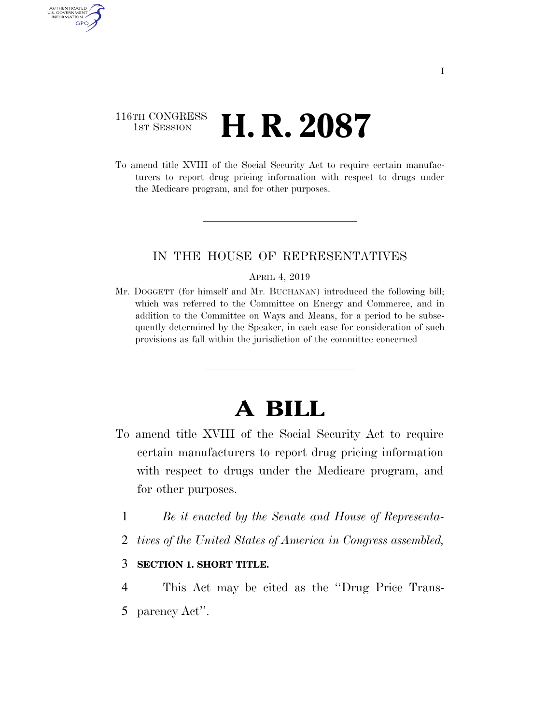## 116TH CONGRESS **1st Session H. R. 2087**

AUTHENTICATED U.S. GOVERNMENT GPO

> To amend title XVIII of the Social Security Act to require certain manufacturers to report drug pricing information with respect to drugs under the Medicare program, and for other purposes.

## IN THE HOUSE OF REPRESENTATIVES

## APRIL 4, 2019

Mr. DOGGETT (for himself and Mr. BUCHANAN) introduced the following bill; which was referred to the Committee on Energy and Commerce, and in addition to the Committee on Ways and Means, for a period to be subsequently determined by the Speaker, in each case for consideration of such provisions as fall within the jurisdiction of the committee concerned

## **A BILL**

- To amend title XVIII of the Social Security Act to require certain manufacturers to report drug pricing information with respect to drugs under the Medicare program, and for other purposes.
	- 1 *Be it enacted by the Senate and House of Representa-*
	- 2 *tives of the United States of America in Congress assembled,*
	- 3 **SECTION 1. SHORT TITLE.**
	- 4 This Act may be cited as the ''Drug Price Trans-5 parency Act''.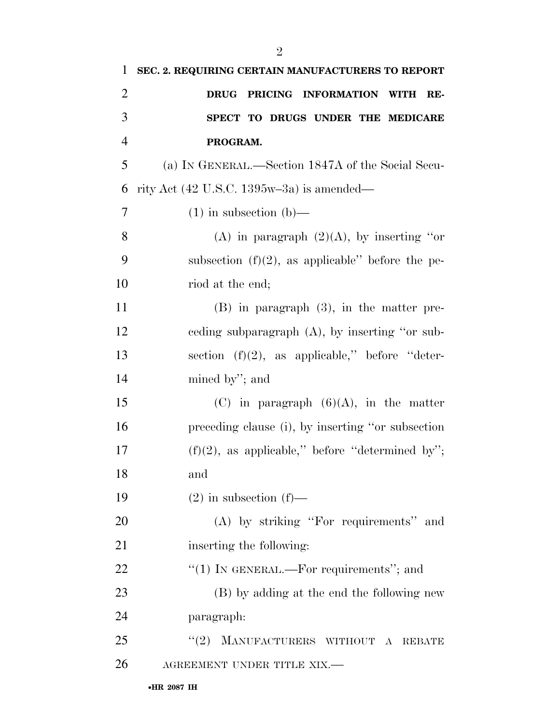| $\mathbf{1}$   | SEC. 2. REQUIRING CERTAIN MANUFACTURERS TO REPORT                  |
|----------------|--------------------------------------------------------------------|
| $\overline{2}$ | DRUG PRICING INFORMATION WITH RE-                                  |
| 3              | SPECT TO DRUGS UNDER THE MEDICARE                                  |
| $\overline{4}$ | PROGRAM.                                                           |
| 5              | (a) IN GENERAL.—Section 1847A of the Social Secu-                  |
| 6              | rity Act $(42 \text{ U.S.C. } 1395\text{w}-3\text{a})$ is amended— |
| 7              | $(1)$ in subsection $(b)$ —                                        |
| 8              | (A) in paragraph $(2)(A)$ , by inserting "or                       |
| 9              | subsection $(f)(2)$ , as applicable" before the pe-                |
| 10             | riod at the end;                                                   |
| 11             | $(B)$ in paragraph $(3)$ , in the matter pre-                      |
| 12             | eeding subparagraph $(A)$ , by inserting "or sub-                  |
| 13             | section $(f)(2)$ , as applicable," before "deter-                  |
| 14             | mined by"; and                                                     |
| 15             | (C) in paragraph $(6)(A)$ , in the matter                          |
| 16             | preceding clause (i), by inserting "or subsection                  |
| 17             | $(f)(2)$ , as applicable," before "determined by";                 |
| 18             | and                                                                |
| 19             | $(2)$ in subsection $(f)$ —                                        |
| 20             | (A) by striking "For requirements" and                             |
| 21             | inserting the following:                                           |
| 22             | "(1) IN GENERAL.—For requirements"; and                            |
| 23             | (B) by adding at the end the following new                         |
| 24             | paragraph:                                                         |
| 25             | MANUFACTURERS WITHOUT A<br>(2)<br><b>REBATE</b>                    |
| 26             | AGREEMENT UNDER TITLE XIX.-                                        |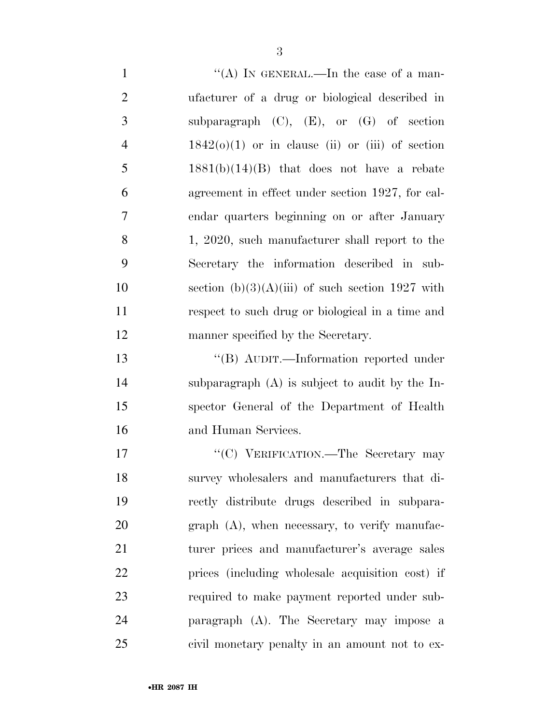$\mathcal{C}(A)$  In GENERAL.—In the case of a man- ufacturer of a drug or biological described in subparagraph (C), (E), or (G) of section  $4 \qquad 1842(0)(1)$  or in clause (ii) or (iii) of section 5 1881(b)(14)(B) that does not have a rebate agreement in effect under section 1927, for cal- endar quarters beginning on or after January 1, 2020, such manufacturer shall report to the Secretary the information described in sub-10 section  $(b)(3)(A)(iii)$  of such section 1927 with respect to such drug or biological in a time and manner specified by the Secretary.

 ''(B) AUDIT.—Information reported under subparagraph (A) is subject to audit by the In- spector General of the Department of Health and Human Services.

17 "'(C) VERIFICATION.—The Secretary may survey wholesalers and manufacturers that di- rectly distribute drugs described in subpara-20 graph (A), when necessary, to verify manufac- turer prices and manufacturer's average sales prices (including wholesale acquisition cost) if required to make payment reported under sub- paragraph (A). The Secretary may impose a civil monetary penalty in an amount not to ex-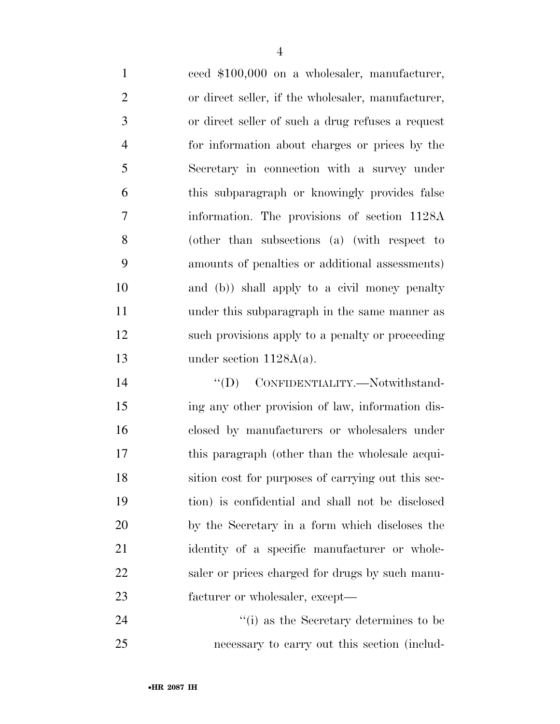ceed \$100,000 on a wholesaler, manufacturer, or direct seller, if the wholesaler, manufacturer, or direct seller of such a drug refuses a request for information about charges or prices by the Secretary in connection with a survey under this subparagraph or knowingly provides false information. The provisions of section 1128A (other than subsections (a) (with respect to amounts of penalties or additional assessments) and (b)) shall apply to a civil money penalty under this subparagraph in the same manner as such provisions apply to a penalty or proceeding under section 1128A(a).

 $''(D)$  CONFIDENTIALITY. Notwithstand- ing any other provision of law, information dis- closed by manufacturers or wholesalers under this paragraph (other than the wholesale acqui- sition cost for purposes of carrying out this sec- tion) is confidential and shall not be disclosed by the Secretary in a form which discloses the 21 identity of a specific manufacturer or whole-22 saler or prices charged for drugs by such manu-facturer or wholesaler, except—

24 ''(i) as the Secretary determines to be necessary to carry out this section (includ-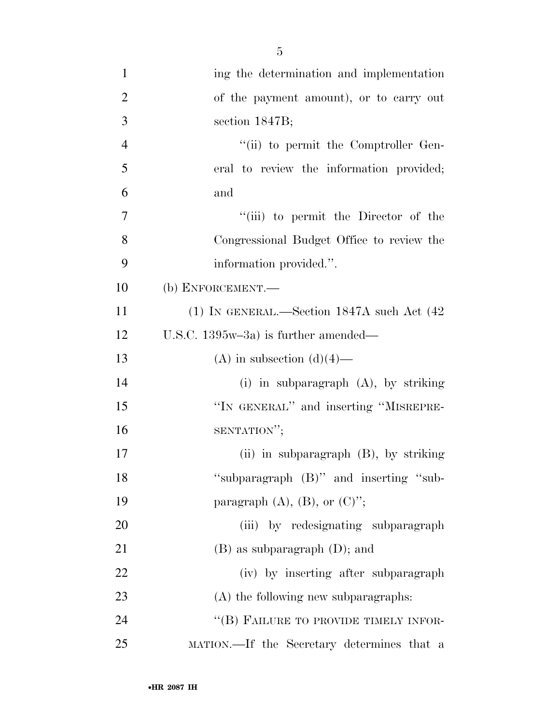| $\mathbf{1}$   | ing the determination and implementation        |
|----------------|-------------------------------------------------|
| $\overline{2}$ | of the payment amount), or to carry out         |
| $\mathfrak{Z}$ | section $1847B$ ;                               |
| $\overline{4}$ | "(ii) to permit the Comptroller Gen-            |
| 5              | eral to review the information provided;        |
| 6              | and                                             |
| $\overline{7}$ | "(iii) to permit the Director of the            |
| 8              | Congressional Budget Office to review the       |
| 9              | information provided.".                         |
| 10             | (b) ENFORCEMENT.—                               |
| 11             | (1) IN GENERAL.—Section $1847A$ such Act $(42)$ |
| 12             | U.S.C. $1395w-3a$ ) is further amended—         |
| 13             | (A) in subsection $(d)(4)$ —                    |
| 14             | (i) in subparagraph $(A)$ , by striking         |
| 15             | "IN GENERAL" and inserting "MISREPRE-           |
| 16             | SENTATION";                                     |
| 17             | (ii) in subparagraph (B), by striking           |
| 18             | "subparagraph (B)" and inserting "sub-          |
| 19             | paragraph $(A)$ , $(B)$ , or $(C)$ ";           |
| 20             | (iii) by redesignating subparagraph             |
| 21             | $(B)$ as subparagraph $(D)$ ; and               |
| 22             | (iv) by inserting after subparagraph            |
| 23             | (A) the following new subparagraphs:            |
| 24             | "(B) FAILURE TO PROVIDE TIMELY INFOR-           |
| 25             | MATION.—If the Secretary determines that a      |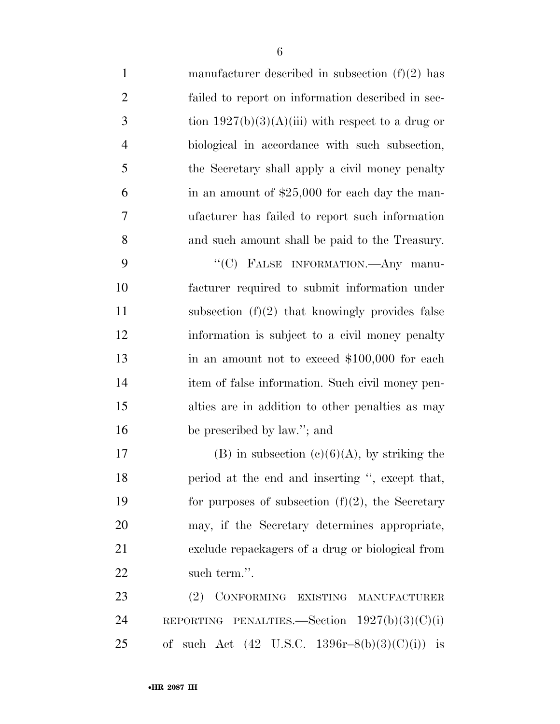| $\mathbf{1}$   | manufacturer described in subsection $(f)(2)$ has   |
|----------------|-----------------------------------------------------|
| $\overline{2}$ | failed to report on information described in sec-   |
| 3              | tion $1927(b)(3)(A)(iii)$ with respect to a drug or |
| $\overline{4}$ | biological in accordance with such subsection,      |
| 5              | the Secretary shall apply a civil money penalty     |
| 6              | in an amount of $$25,000$ for each day the man-     |
| 7              | ufacturer has failed to report such information     |
| 8              | and such amount shall be paid to the Treasury.      |
| 9              | "(C) FALSE INFORMATION.—Any manu-                   |
| 10             | facturer required to submit information under       |
| 11             | subsection $(f)(2)$ that knowingly provides false   |
| 12             | information is subject to a civil money penalty     |
| 13             | in an amount not to exceed $$100,000$ for each      |
| 14             | item of false information. Such civil money pen-    |
| 15             | alties are in addition to other penalties as may    |
| 16             | be prescribed by law."; and                         |
| 17             | (B) in subsection $(c)(6)(A)$ , by striking the     |
| 18             | period at the end and inserting ", except that,     |
| 19             | for purposes of subsection $(f)(2)$ , the Secretary |
| 20             | may, if the Secretary determines appropriate,       |
| 21             | exclude repackagers of a drug or biological from    |
| 22             | such term.".                                        |
| 23             | (2) CONFORMING EXISTING MANUFACTURER                |
| 24             | REPORTING PENALTIES.—Section $1927(b)(3)(C)(i)$     |

of such Act (42 U.S.C. 1396r–8(b)(3)(C)(i)) is